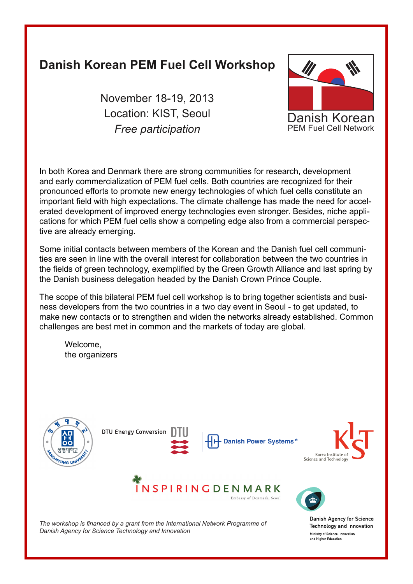# **Danish Korean PEM Fuel Cell Workshop**

November 18-19, 2013 Location: KIST, Seoul *Free participation*



In both Korea and Denmark there are strong communities for research, development and early commercialization of PEM fuel cells. Both countries are recognized for their pronounced efforts to promote new energy technologies of which fuel cells constitute an important field with high expectations. The climate challenge has made the need for accelerated development of improved energy technologies even stronger. Besides, niche applications for which PEM fuel cells show a competing edge also from a commercial perspective are already emerging.

Some initial contacts between members of the Korean and the Danish fuel cell communities are seen in line with the overall interest for collaboration between the two countries in the fields of green technology, exemplified by the Green Growth Alliance and last spring by the Danish business delegation headed by the Danish Crown Prince Couple.

The scope of this bilateral PEM fuel cell workshop is to bring together scientists and business developers from the two countries in a two day event in Seoul - to get updated, to make new contacts or to strengthen and widen the networks already established. Common challenges are best met in common and the markets of today are global.

Welcome, the organizers



The workshop is financed by a grant from the International Network Programme of *Danish Agency for Science Technology and Innovation*

Danish Agency for Science Technology and Innovation Ministry of Science, Innovation and Higher Education